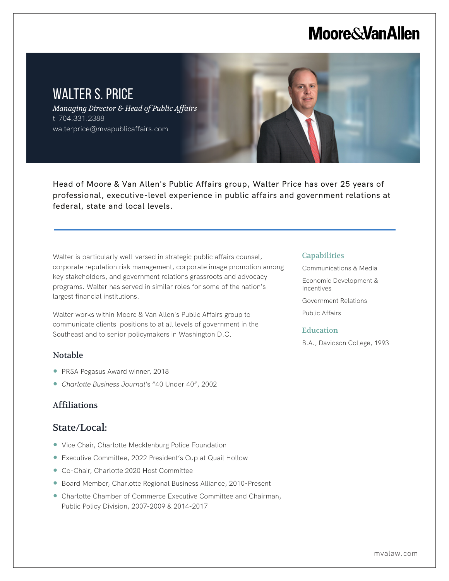# **Moore & Van Allen**

# WALTER S. PRICE *Managing Director & Head of Public Affairs* t 704.331.2388 walterprice@mvapublicaffairs.com

Head of Moore & Van Allen's Public Affairs group, Walter Price has over 25 years of professional, executive-level experience in public affairs and government relations at federal, state and local levels.

Walter is particularly well-versed in strategic public affairs counsel, corporate reputation risk management, corporate image promotion among key stakeholders, and government relations grassroots and advocacy programs. Walter has served in similar roles for some of the nation's largest financial institutions.

Walter works within Moore & Van Allen's Public Affairs group to communicate clients' positions to at all levels of government in the Southeast and to senior policymakers in Washington D.C.

## Notable

L

- PRSA Pegasus Award winner, 2018
- *Charlotte Business Journal'*s "40 Under 40", 2002

## Affiliations

## State/Local:

- Vice Chair, Charlotte Mecklenburg Police Foundation
- Executive Committee, 2022 President's Cup at Quail Hollow
- Co-Chair, Charlotte 2020 Host Committee
- Board Member, Charlotte Regional Business Alliance, 2010-Present
- Charlotte Chamber of Commerce Executive Committee and Chairman, Public Policy Division, 2007-2009 & 2014-2017

#### **Capabilities**

Communications & Media Economic Development & Incentives Government Relations Public Affairs

#### Education

B.A., Davidson College, 1993